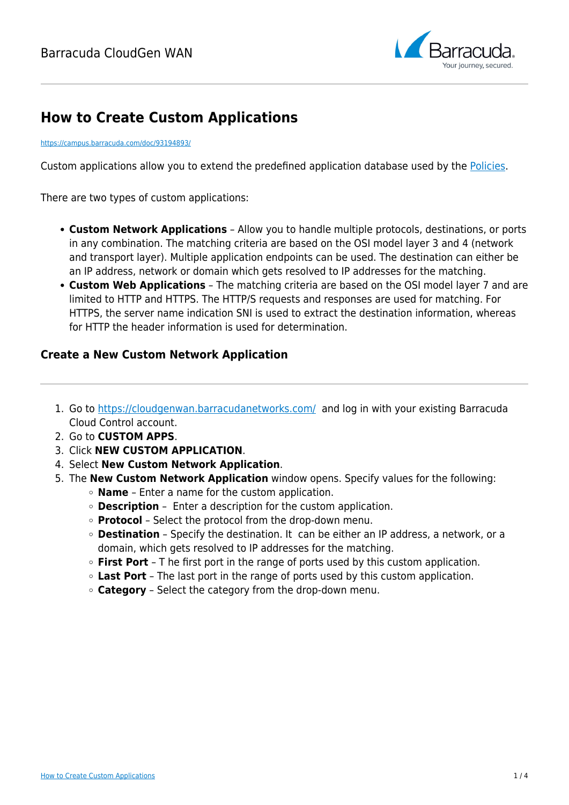

# **How to Create Custom Applications**

#### <https://campus.barracuda.com/doc/93194893/>

Custom applications allow you to extend the predefined application database used by the [Policies.](http://campus.barracuda.com/doc/93194239/)

There are two types of custom applications:

- **Custom Network Applications** Allow you to handle multiple protocols, destinations, or ports in any combination. The matching criteria are based on the OSI model layer 3 and 4 (network and transport layer). Multiple application endpoints can be used. The destination can either be an IP address, network or domain which gets resolved to IP addresses for the matching.
- **Custom Web Applications** The matching criteria are based on the OSI model layer 7 and are limited to HTTP and HTTPS. The HTTP/S requests and responses are used for matching. For HTTPS, the server name indication SNI is used to extract the destination information, whereas for HTTP the header information is used for determination.

#### **Create a New Custom Network Application**

- 1. Go to<https://cloudgenwan.barracudanetworks.com/> and log in with your existing Barracuda Cloud Control account.
- 2. Go to **CUSTOM APPS**.
- 3. Click **NEW CUSTOM APPLICATION**.
- 4. Select **New Custom Network Application**.
- 5. The **New Custom Network Application** window opens. Specify values for the following:
	- **Name** Enter a name for the custom application.
	- **Description** Enter a description for the custom application.
	- **Protocol** Select the protocol from the drop-down menu.
	- **Destination** Specify the destination. It can be either an IP address, a network, or a domain, which gets resolved to IP addresses for the matching.
	- **First Port** T he first port in the range of ports used by this custom application.
	- **Last Port** The last port in the range of ports used by this custom application.
	- **Category** Select the category from the drop-down menu.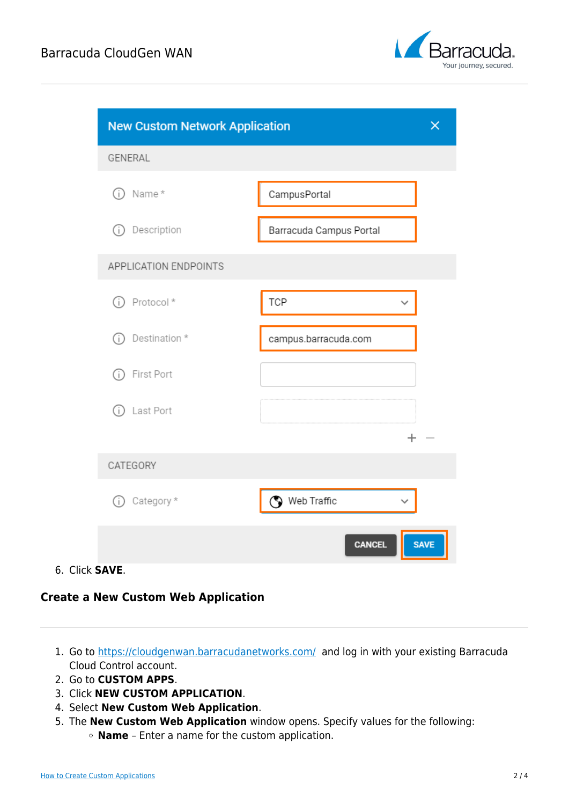

| <b>New Custom Network Application</b> | $\times$                     |
|---------------------------------------|------------------------------|
| GENERAL                               |                              |
| Name*<br>G)                           | CampusPortal                 |
| Description<br>G)                     | Barracuda Campus Portal      |
| APPLICATION ENDPOINTS                 |                              |
| Protocol*<br>(i)                      | <b>TCP</b>                   |
| Destination *<br>(i)                  | campus.barracuda.com         |
| First Port<br>G)                      |                              |
| (i) Last Port                         |                              |
|                                       | $\pm$                        |
| CATEGORY                              |                              |
| Category *<br>(i)                     | Web Traffic                  |
|                                       | <b>CANCEL</b><br><b>SAVE</b> |

#### 6. Click **SAVE**.

### **Create a New Custom Web Application**

- 1. Go to<https://cloudgenwan.barracudanetworks.com/> and log in with your existing Barracuda Cloud Control account.
- 2. Go to **CUSTOM APPS**.
- 3. Click **NEW CUSTOM APPLICATION**.
- 4. Select **New Custom Web Application**.
- 5. The **New Custom Web Application** window opens. Specify values for the following: **Name** – Enter a name for the custom application.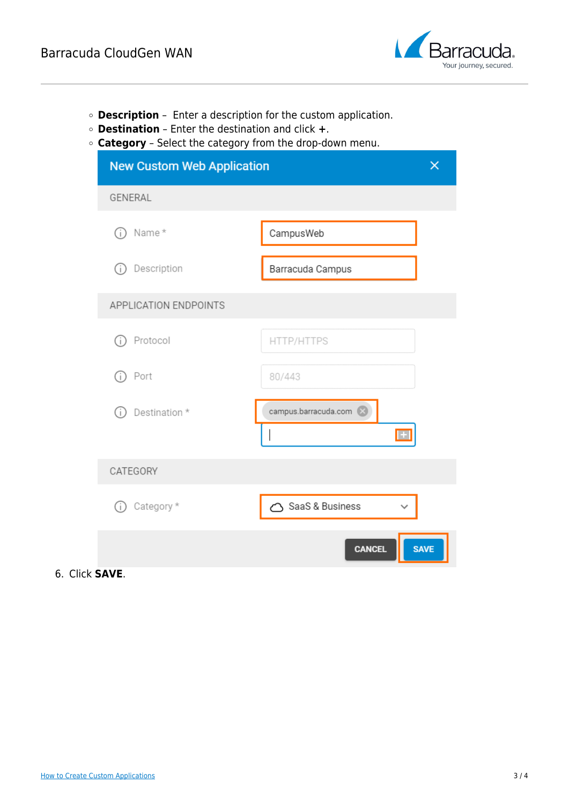

- **Description** Enter a description for the custom application.
- **Destination** Enter the destination and click **+**.
- **Category** Select the category from the drop-down menu.

| <b>New Custom Web Application</b><br>$\times$ |                                      |
|-----------------------------------------------|--------------------------------------|
| GENERAL                                       |                                      |
| Name*<br>Ĵ.                                   | CampusWeb                            |
| Description<br>(i                             | Barracuda Campus                     |
| APPLICATION ENDPOINTS                         |                                      |
| Protocol<br>÷.                                | HTTP/HTTPS                           |
| Port<br>Œ                                     | 80/443                               |
| Destination *<br>(i)                          | campus.barracuda.com<br>$\mathbf{+}$ |
| CATEGORY                                      |                                      |
| Category *<br>(i)                             | SaaS & Business                      |
|                                               | <b>SAVE</b><br><b>CANCEL</b>         |

6. Click **SAVE**.